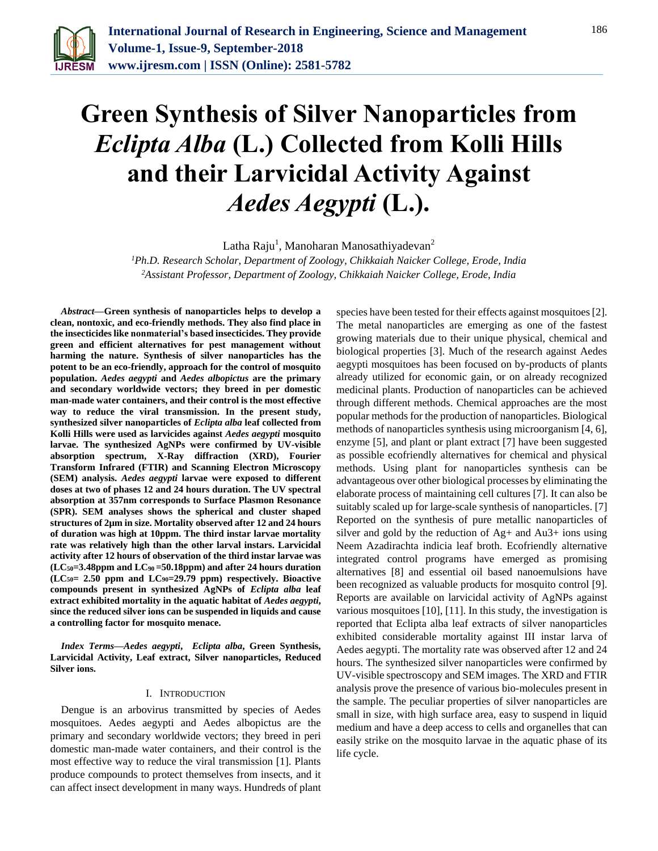

# **Green Synthesis of Silver Nanoparticles from**  *Eclipta Alba* **(L.) Collected from Kolli Hills and their Larvicidal Activity Against**  *Aedes Aegypti* **(L.).**

Latha Raju<sup>1</sup>, Manoharan Manosathiyadevan<sup>2</sup>

*<sup>1</sup>Ph.D. Research Scholar, Department of Zoology, Chikkaiah Naicker College, Erode, India <sup>2</sup>Assistant Professor, Department of Zoology, Chikkaiah Naicker College, Erode, India*

*Abstract***—Green synthesis of nanoparticles helps to develop a clean, nontoxic, and eco-friendly methods. They also find place in the insecticides like nonmaterial's based insecticides. They provide green and efficient alternatives for pest management without harming the nature. Synthesis of silver nanoparticles has the potent to be an eco-friendly, approach for the control of mosquito population.** *Aedes aegypti* **and** *Aedes albopictus* **are the primary and secondary worldwide vectors; they breed in per domestic man-made water containers, and their control is the most effective way to reduce the viral transmission. In the present study, synthesized silver nanoparticles of** *Eclipta alba* **leaf collected from Kolli Hills were used as larvicides against** *Aedes aegypti* **mosquito larvae. The synthesized AgNPs were confirmed by UV-visible absorption spectrum, X-Ray diffraction (XRD), Fourier Transform Infrared (FTIR) and Scanning Electron Microscopy (SEM) analysis.** *Aedes aegypti* **larvae were exposed to different doses at two of phases 12 and 24 hours duration. The UV spectral absorption at 357nm corresponds to Surface Plasmon Resonance (SPR). SEM analyses shows the spherical and cluster shaped structures of 2µm in size. Mortality observed after 12 and 24 hours of duration was high at 10ppm. The third instar larvae mortality rate was relatively high than the other larval instars. Larvicidal activity after 12 hours of observation of the third instar larvae was (LC50=3.48ppm and LC90 =50.18ppm) and after 24 hours duration (LC50= 2.50 ppm and LC90=29.79 ppm) respectively. Bioactive compounds present in synthesized AgNPs of** *Eclipta alba* **leaf extract exhibited mortality in the aquatic habitat of** *Aedes aegypti***, since the reduced silver ions can be suspended in liquids and cause a controlling factor for mosquito menace.**

*Index Terms***—***Aedes aegypti***,** *Eclipta alba***, Green Synthesis, Larvicidal Activity, Leaf extract, Silver nanoparticles, Reduced Silver ions.**

#### I. INTRODUCTION

Dengue is an arbovirus transmitted by species of Aedes mosquitoes. Aedes aegypti and Aedes albopictus are the primary and secondary worldwide vectors; they breed in peri domestic man-made water containers, and their control is the most effective way to reduce the viral transmission [1]. Plants produce compounds to protect themselves from insects, and it can affect insect development in many ways. Hundreds of plant

species have been tested for their effects against mosquitoes [2]. The metal nanoparticles are emerging as one of the fastest growing materials due to their unique physical, chemical and biological properties [3]. Much of the research against Aedes aegypti mosquitoes has been focused on by-products of plants already utilized for economic gain, or on already recognized medicinal plants. Production of nanoparticles can be achieved through different methods. Chemical approaches are the most popular methods for the production of nanoparticles. Biological methods of nanoparticles synthesis using microorganism [4, 6], enzyme [5], and plant or plant extract [7] have been suggested as possible ecofriendly alternatives for chemical and physical methods. Using plant for nanoparticles synthesis can be advantageous over other biological processes by eliminating the elaborate process of maintaining cell cultures [7]. It can also be suitably scaled up for large-scale synthesis of nanoparticles. [7] Reported on the synthesis of pure metallic nanoparticles of silver and gold by the reduction of Ag+ and Au3+ ions using Neem Azadirachta indicia leaf broth. Ecofriendly alternative integrated control programs have emerged as promising alternatives [8] and essential oil based nanoemulsions have been recognized as valuable products for mosquito control [9]. Reports are available on larvicidal activity of AgNPs against various mosquitoes [10], [11]. In this study, the investigation is reported that Eclipta alba leaf extracts of silver nanoparticles exhibited considerable mortality against III instar larva of Aedes aegypti. The mortality rate was observed after 12 and 24 hours. The synthesized silver nanoparticles were confirmed by UV-visible spectroscopy and SEM images. The XRD and FTIR analysis prove the presence of various bio-molecules present in the sample. The peculiar properties of silver nanoparticles are small in size, with high surface area, easy to suspend in liquid medium and have a deep access to cells and organelles that can easily strike on the mosquito larvae in the aquatic phase of its life cycle.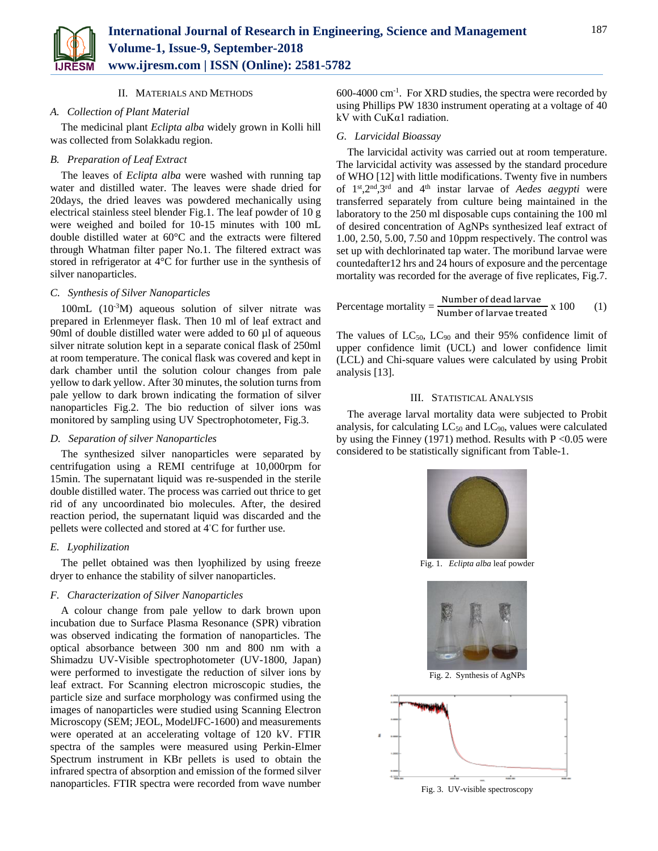

#### II. MATERIALS AND METHODS

#### *A. Collection of Plant Material*

The medicinal plant *Eclipta alba* widely grown in Kolli hill was collected from Solakkadu region.

#### *B. Preparation of Leaf Extract*

The leaves of *Eclipta alba* were washed with running tap water and distilled water. The leaves were shade dried for 20days, the dried leaves was powdered mechanically using electrical stainless steel blender Fig.1. The leaf powder of 10 g were weighed and boiled for 10-15 minutes with 100 mL double distilled water at 60°C and the extracts were filtered through Whatman filter paper No.1. The filtered extract was stored in refrigerator at 4°C for further use in the synthesis of silver nanoparticles.

#### *C. Synthesis of Silver Nanoparticles*

 $100mL$  ( $10^{-3}M$ ) aqueous solution of silver nitrate was prepared in Erlenmeyer flask. Then 10 ml of leaf extract and 90ml of double distilled water were added to 60 µl of aqueous silver nitrate solution kept in a separate conical flask of 250ml at room temperature. The conical flask was covered and kept in dark chamber until the solution colour changes from pale yellow to dark yellow. After 30 minutes, the solution turns from pale yellow to dark brown indicating the formation of silver nanoparticles Fig.2. The bio reduction of silver ions was monitored by sampling using UV Spectrophotometer, Fig.3.

## *D. Separation of silver Nanoparticles*

The synthesized silver nanoparticles were separated by centrifugation using a REMI centrifuge at 10,000rpm for 15min. The supernatant liquid was re-suspended in the sterile double distilled water. The process was carried out thrice to get rid of any uncoordinated bio molecules. After, the desired reaction period, the supernatant liquid was discarded and the pellets were collected and stored at 4◦C for further use.

## *E. Lyophilization*

The pellet obtained was then lyophilized by using freeze dryer to enhance the stability of silver nanoparticles.

#### *F. Characterization of Silver Nanoparticles*

A colour change from pale yellow to dark brown upon incubation due to Surface Plasma Resonance (SPR) vibration was observed indicating the formation of nanoparticles. The optical absorbance between 300 nm and 800 nm with a Shimadzu UV-Visible spectrophotometer (UV-1800, Japan) were performed to investigate the reduction of silver ions by leaf extract. For Scanning electron microscopic studies, the particle size and surface morphology was confirmed using the images of nanoparticles were studied using Scanning Electron Microscopy (SEM; JEOL, ModelJFC-1600) and measurements were operated at an accelerating voltage of 120 kV. FTIR spectra of the samples were measured using Perkin-Elmer Spectrum instrument in KBr pellets is used to obtain the infrared spectra of absorption and emission of the formed silver nanoparticles. FTIR spectra were recorded from wave number

600-4000 cm-1 . For XRD studies, the spectra were recorded by using Phillips PW 1830 instrument operating at a voltage of 40 kV with CuKα1 radiation.

#### *G. Larvicidal Bioassay*

The larvicidal activity was carried out at room temperature. The larvicidal activity was assessed by the standard procedure of WHO [12] with little modifications. Twenty five in numbers of 1st,2nd,3rd and 4th instar larvae of *Aedes aegypti* were transferred separately from culture being maintained in the laboratory to the 250 ml disposable cups containing the 100 ml of desired concentration of AgNPs synthesized leaf extract of 1.00, 2.50, 5.00, 7.50 and 10ppm respectively. The control was set up with dechlorinated tap water. The moribund larvae were countedafter12 hrs and 24 hours of exposure and the percentage mortality was recorded for the average of five replicates, Fig.7.

Percentage mortality = 
$$
\frac{\text{Number of dead larvae}}{\text{Number of larvae treated}} \times 100
$$
 (1)

The values of  $LC_{50}$ ,  $LC_{90}$  and their 95% confidence limit of upper confidence limit (UCL) and lower confidence limit (LCL) and Chi-square values were calculated by using Probit analysis [13].

#### III. STATISTICAL ANALYSIS

The average larval mortality data were subjected to Probit analysis, for calculating  $LC_{50}$  and  $LC_{90}$ , values were calculated by using the Finney (1971) method. Results with  $P \le 0.05$  were considered to be statistically significant from Table-1.



Fig. 1. *Eclipta alba* leaf powder



Fig. 2. Synthesis of AgNPs



Fig. 3. UV-visible spectroscopy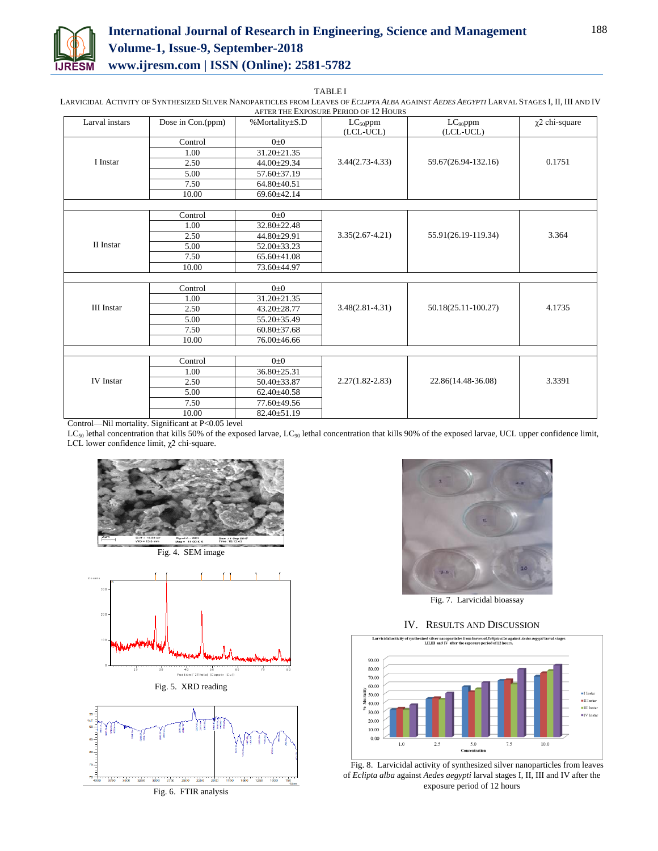

# **International Journal of Research in Engineering, Science and Management Volume-1, Issue-9, September-2018 www.ijresm.com | ISSN (Online): 2581-5782**

TABLE I

LARVICIDAL ACTIVITY OF SYNTHESIZED SILVER NANOPARTICLES FROM LEAVES OF *ECLIPTA ALBA* AGAINST *AEDES AEGYPTI* LARVAL STAGES I, II, III AND IV AFTER THE EXPOSURE PERIOD OF 12 HOURS

| Larval instars    | Dose in Con.(ppm)                                            | %Mortality±S.D    | $LC_{50}$ ppm<br>(LCL-UCL) | $LC_{90}$ ppm<br>(LCL-UCL) | $\chi$ 2 chi-square |
|-------------------|--------------------------------------------------------------|-------------------|----------------------------|----------------------------|---------------------|
|                   | Control                                                      | $0\pm 0$          |                            |                            |                     |
|                   | 1.00                                                         | 31.20±21.35       |                            |                            |                     |
| I Instar          | 2.50                                                         | 44.00±29.34       | $3.44(2.73-4.33)$          | 59.67(26.94-132.16)        | 0.1751              |
|                   | 5.00                                                         | $57.60 \pm 37.19$ |                            |                            |                     |
|                   | 7.50                                                         | $64.80{\pm}40.51$ |                            |                            |                     |
|                   | 10.00                                                        | 69.60±42.14       |                            |                            |                     |
|                   |                                                              |                   |                            |                            |                     |
|                   | Control                                                      | $0\pm 0$          |                            |                            |                     |
|                   | 1.00                                                         | 32.80±22.48       |                            |                            |                     |
|                   | 2.50                                                         | 44.80±29.91       | $3.35(2.67 - 4.21)$        | 55.91(26.19-119.34)        | 3.364               |
| II Instar         | 5.00                                                         | 52.00±33.23       |                            |                            |                     |
|                   | 7.50                                                         | 65.60±41.08       |                            |                            |                     |
|                   | 10.00                                                        | 73.60±44.97       |                            |                            |                     |
|                   |                                                              |                   |                            |                            |                     |
|                   | Control                                                      | $0\pm 0$          |                            |                            |                     |
|                   | 1.00                                                         | $31.20 \pm 21.35$ |                            |                            |                     |
| <b>III</b> Instar | 2.50                                                         | $43.20 \pm 28.77$ | $3.48(2.81 - 4.31)$        | 50.18(25.11-100.27)        | 4.1735              |
|                   | 5.00                                                         | 55.20±35.49       |                            |                            |                     |
|                   | 7.50                                                         | $60.80 \pm 37.68$ |                            |                            |                     |
|                   | 10.00                                                        | 76.00±46.66       |                            |                            |                     |
|                   |                                                              |                   |                            |                            |                     |
|                   | Control                                                      | $0\pm 0$          |                            |                            |                     |
|                   | 1.00                                                         | $36.80 \pm 25.31$ |                            |                            |                     |
| <b>IV</b> Instar  | 2.50                                                         | $50.40 \pm 33.87$ | $2.27(1.82 - 2.83)$        | 22.86(14.48-36.08)         | 3.3391              |
|                   | 5.00                                                         | $62.40 \pm 40.58$ |                            |                            |                     |
|                   | 7.50                                                         | 77.60±49.56       |                            |                            |                     |
| $  -$<br>$\cdots$ | 10.00<br>$\sim$ $\sim$<br>$\sim$ $\sim$ $\sim$ $\sim$ $\sim$ | 82.40±51.19       |                            |                            |                     |

Control—Nil mortality. Significant at P<0.05 level

LC<sub>50</sub> lethal concentration that kills 50% of the exposed larvae, LC<sub>90</sub> lethal concentration that kills 90% of the exposed larvae, UCL upper confidence limit, LCL lower confidence limit, χ2 chi-square.







Fig. 5. XRD reading



Fig. 6. FTIR analysis



Fig. 7. Larvicidal bioassay

#### IV. RESULTS AND DISCUSSION



Fig. 8. Larvicidal activity of synthesized silver nanoparticles from leaves of *Eclipta alba* against *Aedes aegypti* larval stages I, II, III and IV after the exposure period of 12 hours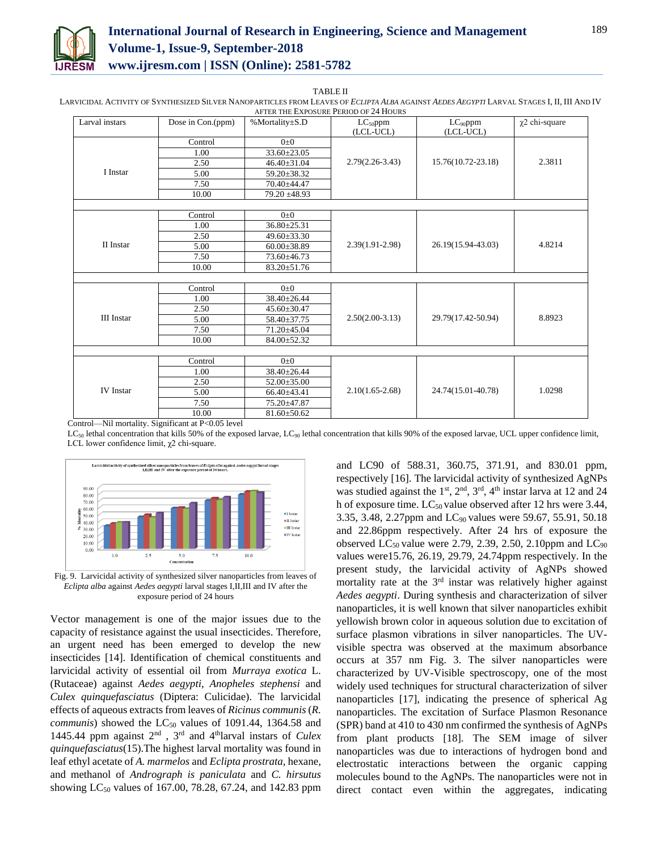

## **International Journal of Research in Engineering, Science and Management Volume-1, Issue-9, September-2018 www.ijresm.com | ISSN (Online): 2581-5782**

TABLE II

LARVICIDAL ACTIVITY OF SYNTHESIZED SILVER NANOPARTICLES FROM LEAVES OF *ECLIPTA ALBA* AGAINST *AEDES AEGYPTI* LARVAL STAGES I, II, III AND IV AFTER THE EXPOSURE PERIOD OF 24 HOURS

| Larval instars    | Dose in Con.(ppm) | %Mortality±S.D    | $LC_{50}$ ppm       | $LC_{90}$ ppm      | $\chi$ 2 chi-square |
|-------------------|-------------------|-------------------|---------------------|--------------------|---------------------|
|                   |                   |                   | (LCL-UCL)           | (LCL-UCL)          |                     |
|                   | Control           | $0\pm 0$          |                     |                    |                     |
|                   | 1.00              | 33.60±23.05       |                     |                    |                     |
|                   | 2.50              | $46.40 \pm 31.04$ | $2.79(2.26-3.43)$   | 15.76(10.72-23.18) | 2.3811              |
| I Instar          | 5.00              | 59.20±38.32       |                     |                    |                     |
|                   | 7.50              | 70.40±44.47       |                     |                    |                     |
|                   | 10.00             | $79.20 \pm 48.93$ |                     |                    |                     |
|                   |                   |                   |                     |                    |                     |
|                   | Control           | $0\pm 0$          |                     |                    |                     |
|                   | 1.00              | 36.80±25.31       |                     |                    |                     |
|                   | 2.50              | $49.60 \pm 33.30$ |                     |                    |                     |
| II Instar         | 5.00              | $60.00 \pm 38.89$ | $2.39(1.91 - 2.98)$ | 26.19(15.94-43.03) | 4.8214              |
|                   | 7.50              | 73.60±46.73       |                     |                    |                     |
|                   | 10.00             | 83.20±51.76       |                     |                    |                     |
|                   |                   |                   |                     |                    |                     |
|                   | Control           | $0\pm 0$          |                     |                    |                     |
|                   | 1.00              | $38.40 \pm 26.44$ |                     |                    |                     |
|                   | 2.50              | $45.60 \pm 30.47$ |                     |                    |                     |
| <b>III</b> Instar | 5.00              | 58.40±37.75       | $2.50(2.00-3.13)$   | 29.79(17.42-50.94) | 8.8923              |
|                   | 7.50              | 71.20±45.04       |                     |                    |                     |
|                   | 10.00             | 84.00±52.32       |                     |                    |                     |
|                   |                   |                   |                     |                    |                     |
|                   | Control           | $0\pm 0$          |                     |                    |                     |
|                   | 1.00              | 38.40±26.44       |                     |                    |                     |
|                   | 2.50              | $52.00 \pm 35.00$ |                     |                    |                     |
| <b>IV</b> Instar  | 5.00              | $66.40\pm43.41$   | $2.10(1.65 - 2.68)$ | 24.74(15.01-40.78) | 1.0298              |
|                   | 7.50              | 75.20±47.87       |                     |                    |                     |
|                   | 10.00             | $81.60 \pm 50.62$ |                     |                    |                     |

Control—Nil mortality. Significant at P<0.05 level

 $LC_{50}$  lethal concentration that kills 50% of the exposed larvae,  $LC_{90}$  lethal concentration that kills 90% of the exposed larvae, UCL upper confidence limit, LCL lower confidence limit, χ2 chi-square.



Fig. 9. Larvicidal activity of synthesized silver nanoparticles from leaves of *Eclipta alba* against *Aedes aegypti* larval stages I,II,III and IV after the exposure period of 24 hours

Vector management is one of the major issues due to the capacity of resistance against the usual insecticides. Therefore, an urgent need has been emerged to develop the new insecticides [14]. Identification of chemical constituents and larvicidal activity of essential oil from *Murraya exotica* L. (Rutaceae) against *Aedes aegypti*, *Anopheles stephensi* and *Culex quinquefasciatus* (Diptera: Culicidae). The larvicidal effects of aqueous extracts from leaves of *Ricinus communis*(*R. communis*) showed the  $LC_{50}$  values of 1091.44, 1364.58 and 1445.44 ppm against 2nd , 3rd and 4thlarval instars of *Culex quinquefasciatus*(15).The highest larval mortality was found in leaf ethyl acetate of *A. marmelos* and *Eclipta prostrata*, hexane, and methanol of *Andrograph is paniculata* and *C. hirsutus* showing LC<sub>50</sub> values of 167.00, 78.28, 67.24, and 142.83 ppm and LC90 of 588.31, 360.75, 371.91, and 830.01 ppm, respectively [16]. The larvicidal activity of synthesized AgNPs was studied against the  $1<sup>st</sup>$ ,  $2<sup>nd</sup>$ ,  $3<sup>rd</sup>$ ,  $4<sup>th</sup>$  instar larva at 12 and 24 h of exposure time.  $LC_{50}$  value observed after 12 hrs were 3.44, 3.35, 3.48, 2.27ppm and LC90 values were 59.67, 55.91, 50.18 and 22.86ppm respectively. After 24 hrs of exposure the observed  $LC_{50}$  value were 2.79, 2.39, 2.50, 2.10ppm and  $LC_{90}$ values were15.76, 26.19, 29.79, 24.74ppm respectively. In the present study, the larvicidal activity of AgNPs showed mortality rate at the 3<sup>rd</sup> instar was relatively higher against *Aedes aegypti*. During synthesis and characterization of silver nanoparticles, it is well known that silver nanoparticles exhibit yellowish brown color in aqueous solution due to excitation of surface plasmon vibrations in silver nanoparticles. The UVvisible spectra was observed at the maximum absorbance occurs at 357 nm Fig. 3. The silver nanoparticles were characterized by UV-Visible spectroscopy, one of the most widely used techniques for structural characterization of silver nanoparticles [17], indicating the presence of spherical Ag nanoparticles. The excitation of Surface Plasmon Resonance (SPR) band at 410 to 430 nm confirmed the synthesis of AgNPs from plant products [18]. The SEM image of silver nanoparticles was due to interactions of hydrogen bond and electrostatic interactions between the organic capping molecules bound to the AgNPs. The nanoparticles were not in direct contact even within the aggregates, indicating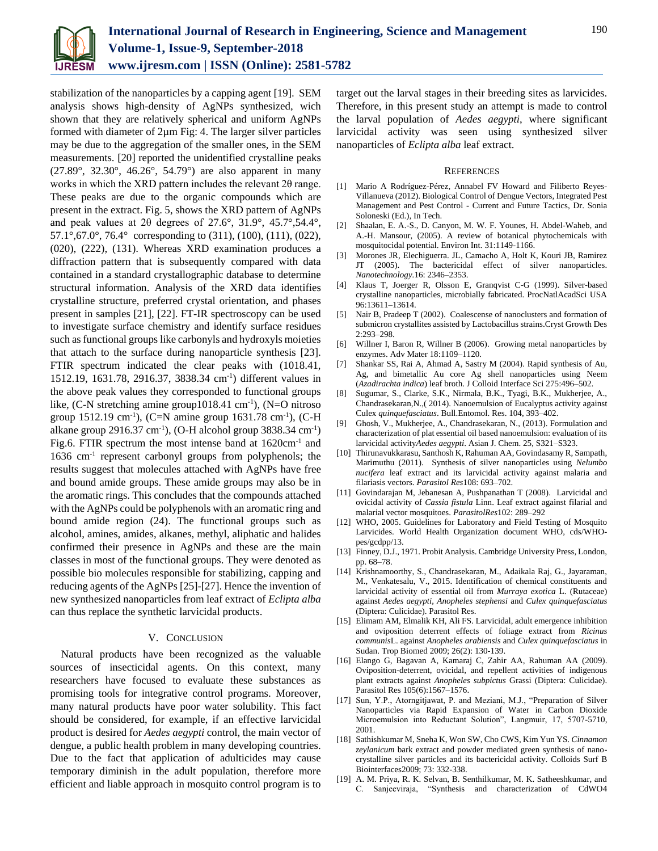

stabilization of the nanoparticles by a capping agent [19]. SEM analysis shows high-density of AgNPs synthesized, wich shown that they are relatively spherical and uniform AgNPs formed with diameter of 2µm Fig: 4. The larger silver particles may be due to the aggregation of the smaller ones, in the SEM measurements. [20] reported the unidentified crystalline peaks (27.89°, 32.30°, 46.26°, 54.79°) are also apparent in many works in which the XRD pattern includes the relevant  $2\theta$  range. These peaks are due to the organic compounds which are present in the extract. Fig. 5, shows the XRD pattern of AgNPs and peak values at 2θ degrees of 27.6°, 31.9°, 45.7°,54.4°, 57.1°,67.0°, 76.4° corresponding to (311), (100), (111), (022), (020), (222), (131). Whereas XRD examination produces a diffraction pattern that is subsequently compared with data contained in a standard crystallographic database to determine structural information. Analysis of the XRD data identifies crystalline structure, preferred crystal orientation, and phases present in samples [21], [22]. FT-IR spectroscopy can be used to investigate surface chemistry and identify surface residues such as functional groups like carbonyls and hydroxyls moieties that attach to the surface during nanoparticle synthesis [23]. FTIR spectrum indicated the clear peaks with (1018.41, 1512.19, 1631.78, 2916.37, 3838.34 cm-1 ) different values in the above peak values they corresponded to functional groups like, (C-N stretching amine group1018.41 cm<sup>-1</sup>), (N=O nitroso group  $1512.19 \text{ cm}^{-1}$ ), (C=N amine group  $1631.78 \text{ cm}^{-1}$ ), (C-H alkane group  $2916.37 \text{ cm}^{-1}$ ), (O-H alcohol group 3838.34 cm<sup>-1</sup>) Fig.6. FTIR spectrum the most intense band at 1620cm<sup>-1</sup> and 1636 cm-1 represent carbonyl groups from polyphenols; the results suggest that molecules attached with AgNPs have free and bound amide groups. These amide groups may also be in the aromatic rings. This concludes that the compounds attached with the AgNPs could be polyphenols with an aromatic ring and bound amide region (24). The functional groups such as alcohol, amines, amides, alkanes, methyl, aliphatic and halides confirmed their presence in AgNPs and these are the main classes in most of the functional groups. They were denoted as possible bio molecules responsible for stabilizing, capping and reducing agents of the AgNPs [25]-[27]. Hence the invention of new synthesized nanoparticles from leaf extract of *Eclipta alba* can thus replace the synthetic larvicidal products.

#### V. CONCLUSION

Natural products have been recognized as the valuable sources of insecticidal agents. On this context, many researchers have focused to evaluate these substances as promising tools for integrative control programs. Moreover, many natural products have poor water solubility. This fact should be considered, for example, if an effective larvicidal product is desired for *Aedes aegypti* control, the main vector of dengue, a public health problem in many developing countries. Due to the fact that application of adulticides may cause temporary diminish in the adult population, therefore more efficient and liable approach in mosquito control program is to

target out the larval stages in their breeding sites as larvicides. Therefore, in this present study an attempt is made to control the larval population of *Aedes aegypti*, where significant larvicidal activity was seen using synthesized silver nanoparticles of *Eclipta alba* leaf extract.

#### **REFERENCES**

- [1] Mario A Rodríguez-Pérez, Annabel FV Howard and Filiberto Reyes-Villanueva (2012). Biological Control of Dengue Vectors, Integrated Pest Management and Pest Control - Current and Future Tactics, Dr. Sonia Soloneski (Ed.), In Tech.
- [2] Shaalan, E. A.-S., D. Canyon, M. W. F. Younes, H. Abdel-Waheb, and A.-H. Mansour, (2005). A review of botanical phytochemicals with mosquitocidal potential. Environ Int. 31:1149-1166.
- [3] Morones JR, Elechiguerra. JL, Camacho A, Holt K, Kouri JB, Ramirez JT (2005). The bactericidal effect of silver nanoparticles. *Nanotechnology.*16: 2346–2353.
- [4] Klaus T, Joerger R, Olsson E, Granqvist C-G (1999). Silver-based crystalline nanoparticles, microbially fabricated. ProcNatlAcadSci USA 96:13611–13614.
- [5] Nair B, Pradeep T (2002). Coalescense of nanoclusters and formation of submicron crystallites assisted by Lactobacillus strains.Cryst Growth Des 2:293–298.
- [6] Willner I, Baron R, Willner B (2006). Growing metal nanoparticles by enzymes. Adv Mater 18:1109–1120.
- [7] Shankar SS, Rai A, Ahmad A, Sastry M (2004). Rapid synthesis of Au, Ag, and bimetallic Au core Ag shell nanoparticles using Neem (*Azadirachta indica*) leaf broth. J Colloid Interface Sci 275:496–502.
- [8] Sugumar, S., Clarke, S.K., Nirmala, B.K., Tyagi, B.K., Mukherjee, A., Chandrasekaran,N.,( 2014). Nanoemulsion of Eucalyptus activity against Culex *quinquefasciatus*. Bull.Entomol. Res. 104, 393–402.
- [9] Ghosh, V., Mukherjee, A., Chandrasekaran, N., (2013). Formulation and characterization of plat essential oil based nanoemulsion: evaluation of its larvicidal activity*Aedes aegypti*. Asian J. Chem. 25, S321–S323.
- [10] Thirunavukkarasu, Santhosh K, Rahuman AA, Govindasamy R, Sampath, Marimuthu (2011). Synthesis of silver nanoparticles using *Nelumbo nucifera* leaf extract and its larvicidal activity against malaria and filariasis vectors. *Parasitol Res*108: 693–702.
- [11] Govindarajan M, Jebanesan A, Pushpanathan T (2008). Larvicidal and ovicidal activity of *Cassia fistula* Linn. Leaf extract against filarial and malarial vector mosquitoes. *ParasitolRes*102: 289–292
- [12] WHO, 2005. Guidelines for Laboratory and Field Testing of Mosquito Larvicides. World Health Organization document WHO, cds/WHOpes/gcdpp/13.
- [13] Finney, D.J., 1971. Probit Analysis. Cambridge University Press, London, pp. 68–78.
- [14] Krishnamoorthy, S., Chandrasekaran, M., Adaikala Raj, G., Jayaraman, M., Venkatesalu, V., 2015. Identification of chemical constituents and larvicidal activity of essential oil from *Murraya exotica* L. (Rutaceae) against *Aedes aegypti*, *Anopheles stephensi* and *Culex quinquefasciatus* (Diptera: Culicidae). Parasitol Res.
- [15] Elimam AM, Elmalik KH, Ali FS. Larvicidal, adult emergence inhibition and oviposition deterrent effects of foliage extract from *Ricinus communis*L. against *Anopheles arabiensis* and *Culex quinquefasciatus* in Sudan. Trop Biomed 2009; 26(2): 130-139.
- [16] Elango G, Bagavan A, Kamaraj C, Zahir AA, Rahuman AA (2009). Oviposition-deterrent, ovicidal, and repellent activities of indigenous plant extracts against *Anopheles subpictus* Grassi (Diptera: Culicidae). Parasitol Res 105(6):1567–1576.
- [17] Sun, Y.P., Atorngitjawat, P. and Meziani, M.J., "Preparation of Silver Nanoparticles via Rapid Expansion of Water in Carbon Dioxide Microemulsion into Reductant Solution", Langmuir, 17, 5707-5710, 2001.
- [18] Sathishkumar M, Sneha K, Won SW, Cho CWS, Kim Yun YS. *Cinnamon zeylanicum* bark extract and powder mediated green synthesis of nanocrystalline silver particles and its bactericidal activity. Colloids Surf B Biointerfaces2009; 73: 332-338.
- [19] A. M. Priya, R. K. Selvan, B. Senthilkumar, M. K. Satheeshkumar, and C. Sanjeeviraja, "Synthesis and characterization of CdWO4